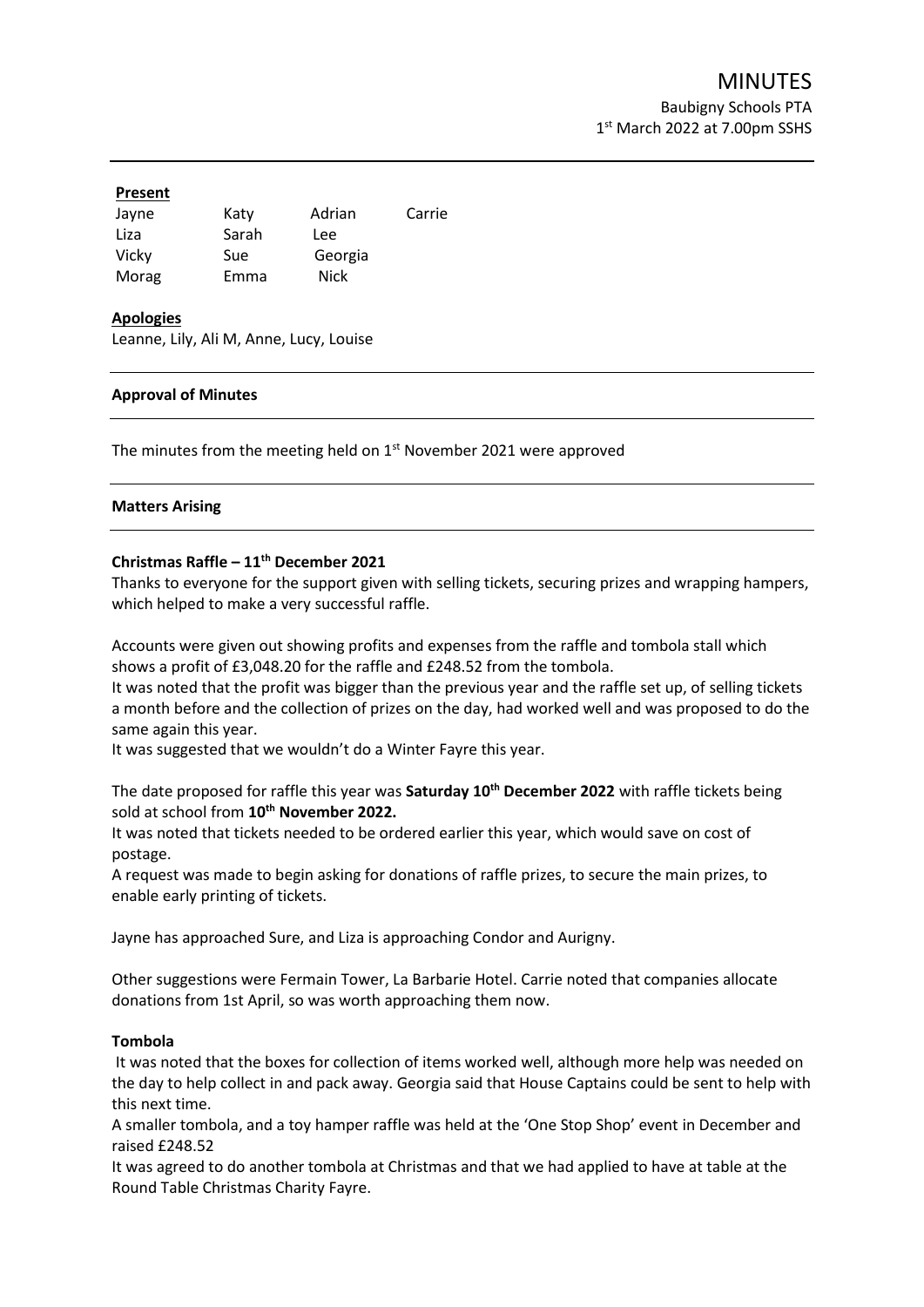#### **Present**

| Jayne | Katy  | Adrian  | Carrie |
|-------|-------|---------|--------|
| Liza  | Sarah | Lee     |        |
| Vicky | Sue   | Georgia |        |
| Morag | Emma  | Nick    |        |

# **Apologies**

Leanne, Lily, Ali M, Anne, Lucy, Louise

### **Approval of Minutes**

The minutes from the meeting held on  $1<sup>st</sup>$  November 2021 were approved

#### **Matters Arising**

# **Christmas Raffle – 11th December 2021**

Thanks to everyone for the support given with selling tickets, securing prizes and wrapping hampers, which helped to make a very successful raffle.

Accounts were given out showing profits and expenses from the raffle and tombola stall which shows a profit of £3,048.20 for the raffle and £248.52 from the tombola.

It was noted that the profit was bigger than the previous year and the raffle set up, of selling tickets a month before and the collection of prizes on the day, had worked well and was proposed to do the same again this year.

It was suggested that we wouldn't do a Winter Fayre this year.

The date proposed for raffle this year was **Saturday 10 th December 2022** with raffle tickets being sold at school from **10th November 2022.**

It was noted that tickets needed to be ordered earlier this year, which would save on cost of postage.

A request was made to begin asking for donations of raffle prizes, to secure the main prizes, to enable early printing of tickets.

Jayne has approached Sure, and Liza is approaching Condor and Aurigny.

Other suggestions were Fermain Tower, La Barbarie Hotel. Carrie noted that companies allocate donations from 1st April, so was worth approaching them now.

#### **Tombola**

It was noted that the boxes for collection of items worked well, although more help was needed on the day to help collect in and pack away. Georgia said that House Captains could be sent to help with this next time.

A smaller tombola, and a toy hamper raffle was held at the 'One Stop Shop' event in December and raised £248.52

It was agreed to do another tombola at Christmas and that we had applied to have at table at the Round Table Christmas Charity Fayre.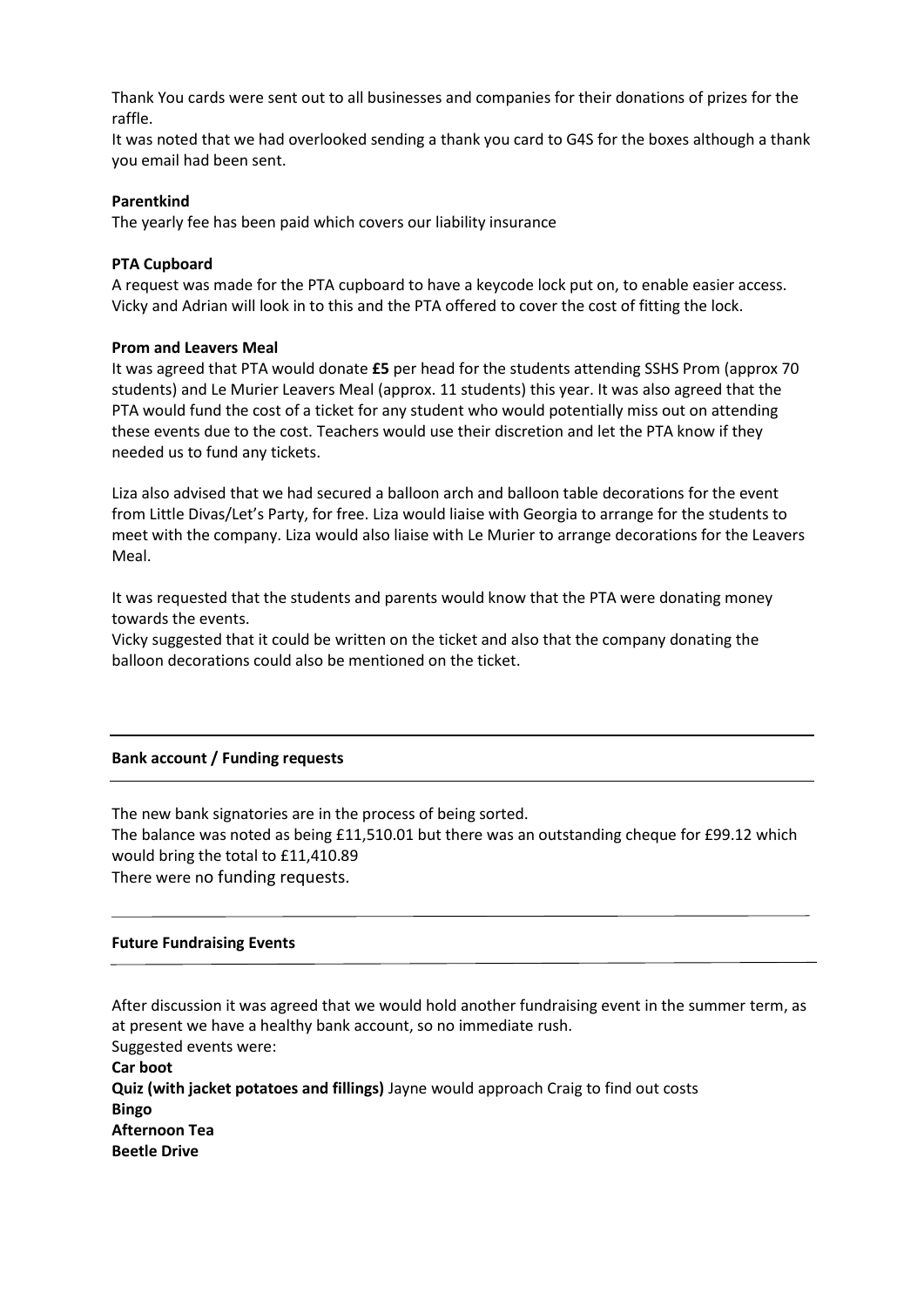Thank You cards were sent out to all businesses and companies for their donations of prizes for the raffle.

It was noted that we had overlooked sending a thank you card to G4S for the boxes although a thank you email had been sent.

### **Parentkind**

The yearly fee has been paid which covers our liability insurance

# **PTA Cupboard**

A request was made for the PTA cupboard to have a keycode lock put on, to enable easier access. Vicky and Adrian will look in to this and the PTA offered to cover the cost of fitting the lock.

# **Prom and Leavers Meal**

It was agreed that PTA would donate **£5** per head for the students attending SSHS Prom (approx 70 students) and Le Murier Leavers Meal (approx. 11 students) this year. It was also agreed that the PTA would fund the cost of a ticket for any student who would potentially miss out on attending these events due to the cost. Teachers would use their discretion and let the PTA know if they needed us to fund any tickets.

Liza also advised that we had secured a balloon arch and balloon table decorations for the event from Little Divas/Let's Party, for free. Liza would liaise with Georgia to arrange for the students to meet with the company. Liza would also liaise with Le Murier to arrange decorations for the Leavers Meal.

It was requested that the students and parents would know that the PTA were donating money towards the events.

Vicky suggested that it could be written on the ticket and also that the company donating the balloon decorations could also be mentioned on the ticket.

### **Bank account / Funding requests**

The new bank signatories are in the process of being sorted. The balance was noted as being £11,510.01 but there was an outstanding cheque for £99.12 which would bring the total to £11,410.89 There were no funding requests.

### **Future Fundraising Events**

After discussion it was agreed that we would hold another fundraising event in the summer term, as at present we have a healthy bank account, so no immediate rush. Suggested events were: **Car boot Quiz (with jacket potatoes and fillings)** Jayne would approach Craig to find out costs **Bingo Afternoon Tea Beetle Drive**